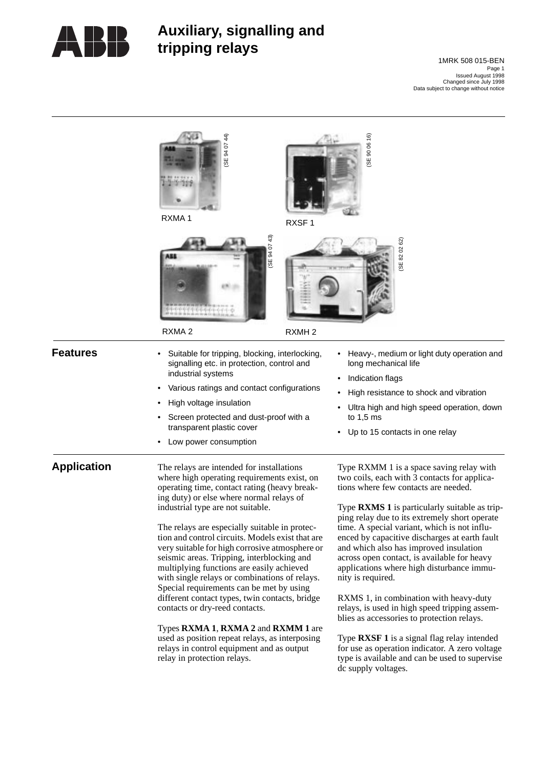

# **Auxiliary, signalling and tripping relays**

Page 1 1MRK 508 015-BEN Issued August 1998 Changed since July 1998 Data subject to change without notice

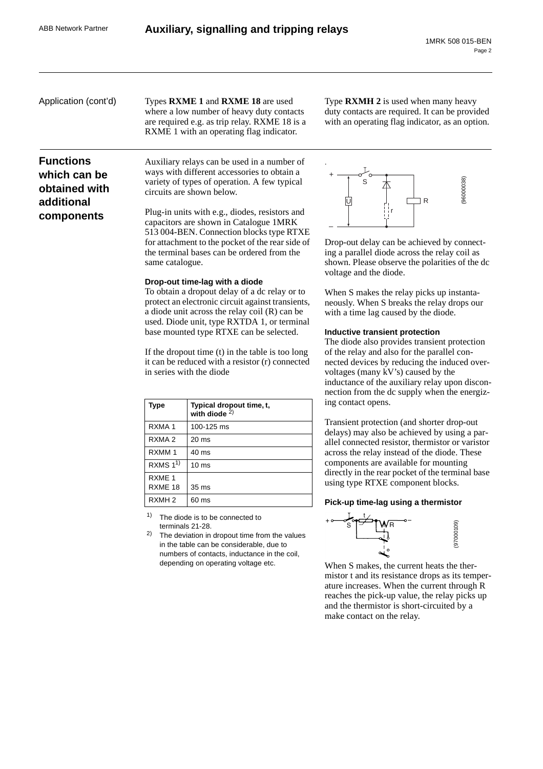# **Functions which can be obtained with additional components**

Application (cont'd) Types **RXME 1** and **RXME 18** are used where a low number of heavy duty contacts are required e.g. as trip relay. RXME 18 is a RXME 1 with an operating flag indicator.

Type **RXMH 2** is used when many heavy duty contacts are required. It can be provided with an operating flag indicator, as an option.

Auxiliary relays can be used in a number of ways with different accessories to obtain a variety of types of operation. A few typical circuits are shown below.

Plug-in units with e.g., diodes, resistors and capacitors are shown in Catalogue 1MRK 513 004-BEN. Connection blocks type RTXE for attachment to the pocket of the rear side of the terminal bases can be ordered from the same catalogue.

#### **Drop-out time-lag with a diode**

To obtain a dropout delay of a dc relay or to protect an electronic circuit against transients, a diode unit across the relay coil (R) can be used. Diode unit, type RXTDA 1, or terminal base mounted type RTXE can be selected.

If the dropout time (t) in the table is too long it can be reduced with a resistor (r) connected in series with the diode

| <b>Type</b>                  | Typical dropout time, t,<br>with diode $2$ ) |
|------------------------------|----------------------------------------------|
| RXMA <sub>1</sub>            | 100-125 ms                                   |
| RXMA <sub>2</sub>            | $20 \text{ ms}$                              |
| RXMM <sub>1</sub>            | $40 \text{ ms}$                              |
| RXMS $1^{1}$                 | 10 <sub>ms</sub>                             |
| RXME <sub>1</sub><br>RXME 18 | 35 <sub>ms</sub>                             |
| RXMH <sub>2</sub>            | 60 ms                                        |

The diode is to be connected to terminals 21-28.

2) The deviation in dropout time from the values in the table can be considerable, due to numbers of contacts, inductance in the coil, depending on operating voltage etc.



Drop-out delay can be achieved by connecting a parallel diode across the relay coil as shown. Please observe the polarities of the dc voltage and the diode.

When S makes the relay picks up instantaneously. When S breaks the relay drops our with a time lag caused by the diode.

#### **Inductive transient protection**

The diode also provides transient protection of the relay and also for the parallel connected devices by reducing the induced overvoltages (many kV's) caused by the inductance of the auxiliary relay upon disconnection from the dc supply when the energizing contact opens.

Transient protection (and shorter drop-out delays) may also be achieved by using a parallel connected resistor, thermistor or varistor across the relay instead of the diode. These components are available for mounting directly in the rear pocket of the terminal base using type RTXE component blocks.

#### **Pick-up time-lag using a thermistor**



When S makes, the current heats the thermistor t and its resistance drops as its temperature increases. When the current through R reaches the pick-up value, the relay picks up and the thermistor is short-circuited by a make contact on the relay.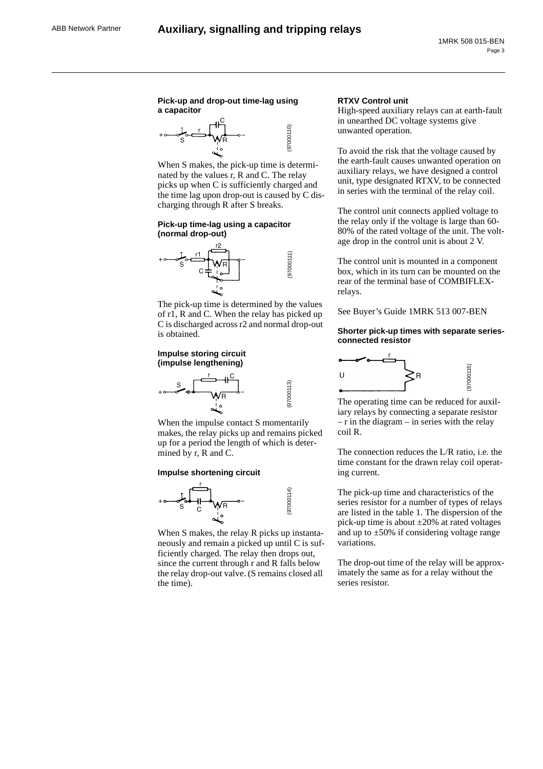### **Pick-up and drop-out time-lag using a capacitor**



When S makes, the pick-up time is determinated by the values r, R and C. The relay picks up when C is sufficiently charged and the time lag upon drop-out is caused by C discharging through R after S breaks.

#### **Pick-up time-lag using a capacitor (normal drop-out)**



The pick-up time is determined by the values of r1, R and C. When the relay has picked up C is discharged across r2 and normal drop-out is obtained.

#### **Impulse storing circuit (impulse lengthening)**



When the impulse contact S momentarily makes, the relay picks up and remains picked up for a period the length of which is determined by r, R and C.

#### **Impulse shortening circuit**



When S makes, the relay R picks up instantaneously and remain a picked up until C is sufficiently charged. The relay then drops out, since the current through r and R falls below the relay drop-out valve. (S remains closed all the time).

#### **RTXV Control unit**

High-speed auxiliary relays can at earth-fault in unearthed DC voltage systems give unwanted operation.

To avoid the risk that the voltage caused by the earth-fault causes unwanted operation on auxiliary relays, we have designed a control unit, type designated RTXV, to be connected in series with the terminal of the relay coil.

The control unit connects applied voltage to the relay only if the voltage is large than 60- 80% of the rated voltage of the unit. The voltage drop in the control unit is about 2 V.

The control unit is mounted in a component box, which in its turn can be mounted on the rear of the terminal base of COMBIFLEXrelays.

See Buyer's Guide 1MRK 513 007-BEN

#### **Shorter pick-up times with separate seriesconnected resistor**



The operating time can be reduced for auxiliary relays by connecting a separate resistor  $-$  r in the diagram  $-$  in series with the relay coil R.

The connection reduces the L/R ratio, i.e. the time constant for the drawn relay coil operating current.

The pick-up time and characteristics of the series resistor for a number of types of relays are listed in the table 1. The dispersion of the pick-up time is about ±20% at rated voltages and up to  $\pm 50\%$  if considering voltage range variations.

The drop-out time of the relay will be approximately the same as for a relay without the series resistor.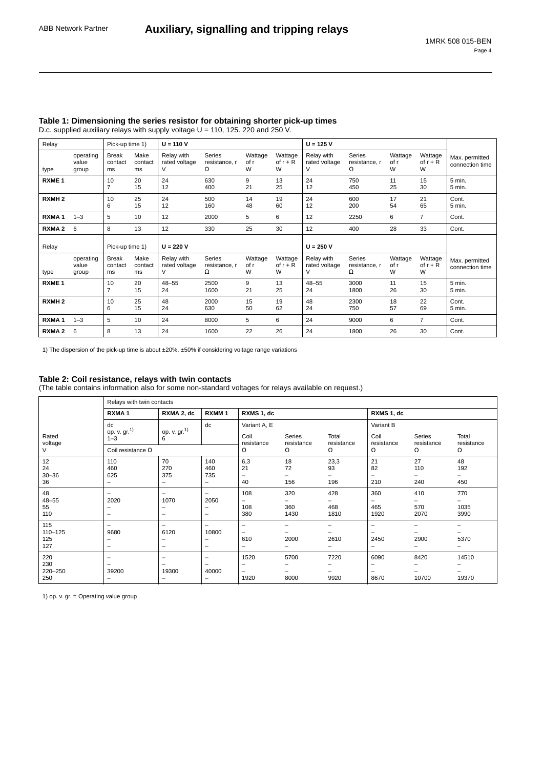| Relay             |                             | Pick-up time 1)               |                       | $U = 110 V$                      |                                     |                      |                            | $U = 125 V$                      |                                     |                      |                            |                                   |
|-------------------|-----------------------------|-------------------------------|-----------------------|----------------------------------|-------------------------------------|----------------------|----------------------------|----------------------------------|-------------------------------------|----------------------|----------------------------|-----------------------------------|
| type              | operating<br>value<br>group | <b>Break</b><br>contact<br>ms | Make<br>contact<br>ms | Relay with<br>rated voltage<br>V | <b>Series</b><br>resistance, r<br>Ω | Wattage<br>of r<br>W | Wattage<br>of $r + R$<br>W | Relay with<br>rated voltage<br>V | <b>Series</b><br>resistance, r<br>Ω | Wattage<br>of r<br>W | Wattage<br>of $r + R$<br>W | Max. permitted<br>connection time |
| RXME <sub>1</sub> |                             | 10<br>$\overline{7}$          | 20<br>15              | 24<br>12                         | 630<br>400                          | 9<br>21              | 13<br>25                   | 24<br>12                         | 750<br>450                          | 11<br>25             | 15<br>30                   | 5 min.<br>5 min.                  |
| RXMH <sub>2</sub> |                             | 10<br>6                       | 25<br>15              | 24<br>12                         | 500<br>160                          | 14<br>48             | 19<br>60                   | 24<br>12                         | 600<br>200                          | 17<br>54             | 21<br>65                   | Cont.<br>5 min.                   |
| RXMA <sub>1</sub> | $1 - 3$                     | 5                             | 10                    | 12                               | 2000                                | 5                    | 6                          | 12                               | 2250                                | 6                    | $\overline{7}$             | Cont.                             |
| RXMA <sub>2</sub> | 6                           | 8                             | 13                    | 12                               | 330                                 | 25                   | 30                         | 12                               | 400                                 | 28                   | 33                         | Cont.                             |
| Relay             |                             | Pick-up time 1)               |                       | $U = 220 V$                      |                                     |                      |                            | $U = 250 V$                      |                                     |                      |                            |                                   |
| type              | operating<br>value<br>group | <b>Break</b><br>contact<br>ms | Make<br>contact<br>ms | Relay with<br>rated voltage<br>V | <b>Series</b><br>resistance, r<br>Ω | Wattage<br>of r<br>W | Wattage<br>of $r + R$<br>W | Relay with<br>rated voltage<br>V | <b>Series</b><br>resistance, r<br>Ω | Wattage<br>of r<br>W | Wattage<br>of $r + R$<br>W | Max. permitted<br>connection time |
| RXME <sub>1</sub> |                             | 10<br>$\overline{7}$          | 20<br>15              | $48 - 55$<br>24                  | 2500<br>1600                        | 9<br>21              | 13<br>25                   | $48 - 55$<br>24                  | 3000<br>1800                        | 11<br>26             | 15<br>30                   | 5 min.<br>5 min.                  |
| RXMH <sub>2</sub> |                             | 10<br>6                       | 25<br>15              | 48<br>24                         | 2000<br>630                         | 15<br>50             | 19<br>62                   | 48<br>24                         | 2300<br>750                         | 18<br>57             | 22<br>69                   | Cont.<br>5 min.                   |
| RXMA <sub>1</sub> | $1 - 3$                     | 5                             | 10                    | 24                               | 8000                                | 5                    | 6                          | 24                               | 9000                                | 6                    | $\overline{7}$             | Cont.                             |
| RXMA <sub>2</sub> | 6                           | 8                             | 13                    | 24                               | 1600                                | 22                   | 26                         | 24                               | 1800                                | 26                   | 30                         | Cont.                             |

#### **Table 1: Dimensioning the series resistor for obtaining shorter pick-up times** D.c. supplied auxiliary relays with supply voltage U = 110, 125. 220 and 250 V.

1) The dispersion of the pick-up time is about ±20%, ±50% if considering voltage range variations

# **Table 2: Coil resistance, relays with twin contacts**

(The table contains information also for some non-standard voltages for relays available on request.)

|                              | Relays with twin contacts                                                |                                        |                        |                                             |                      |                                     |                                                                      |                         |                                  |
|------------------------------|--------------------------------------------------------------------------|----------------------------------------|------------------------|---------------------------------------------|----------------------|-------------------------------------|----------------------------------------------------------------------|-------------------------|----------------------------------|
|                              | RXMA <sub>1</sub>                                                        | RXMA 2, dc                             | RXMM <sub>1</sub>      | RXMS 1, dc                                  |                      |                                     | RXMS 1, dc                                                           |                         |                                  |
|                              | dc                                                                       |                                        | dc                     | Variant A, E                                |                      |                                     | Variant B                                                            |                         |                                  |
| Rated<br>voltage             | op. v. gr. 1)<br>$1 - 3$                                                 | op. v. gr $^{1)}$<br>6                 |                        | Coil<br>resistance                          | Series<br>resistance | Total<br>resistance                 | Coil<br>resistance                                                   | Series<br>resistance    | Total<br>resistance              |
| V                            | Coil resistance $\Omega$                                                 |                                        |                        | Ω                                           | Ω                    | Ω                                   | Ω                                                                    | Ω                       | Ω                                |
| 12<br>24<br>$30 - 36$<br>36  | 110<br>460<br>625<br>$\qquad \qquad -$                                   | 70<br>270<br>375<br>-                  | 140<br>460<br>735<br>- | 6,3<br>21<br>$\overline{\phantom{0}}$<br>40 | 18<br>72<br>156      | 23,3<br>93<br>-<br>196              | 21<br>82<br>$\overline{\phantom{0}}$<br>210                          | 27<br>110<br>240        | 48<br>192<br>450                 |
| 48<br>$48 - 55$<br>55<br>110 | 2020<br>-<br>$\overline{\phantom{0}}$                                    | -<br>1070<br>$\qquad \qquad$<br>-      | -<br>2050<br>-<br>-    | 108<br>-<br>108<br>380                      | 320<br>360<br>1430   | 428<br>-<br>468<br>1810             | 360<br>-<br>465<br>1920                                              | 410<br>-<br>570<br>2070 | 770<br>1035<br>3990              |
| 115<br>110-125<br>125<br>127 | $\qquad \qquad -$<br>9680<br>$\qquad \qquad$<br>$\overline{\phantom{0}}$ | -<br>6120<br>$\qquad \qquad -$         | -<br>10800<br>-        | -<br>-<br>610<br>-                          | -<br>2000            | $\qquad \qquad -$<br>-<br>2610<br>- | $\overline{\phantom{m}}$<br>-<br>2450<br>$\overline{\phantom{0}}$    | -<br>2900<br>-          | $\overline{\phantom{0}}$<br>5370 |
| 220<br>230<br>220-250<br>250 | $\qquad \qquad$<br>39200<br>$\overline{\phantom{0}}$                     | -<br>19300<br>$\overline{\phantom{0}}$ | -<br>40000<br>-        | 1520<br>-<br>1920                           | 5700<br>8000         | 7220<br>-<br>9920                   | 6090<br>$\overline{\phantom{0}}$<br>$\overline{\phantom{0}}$<br>8670 | 8420<br>10700           | 14510<br>-<br>19370              |

1) op. v. gr. = Operating value group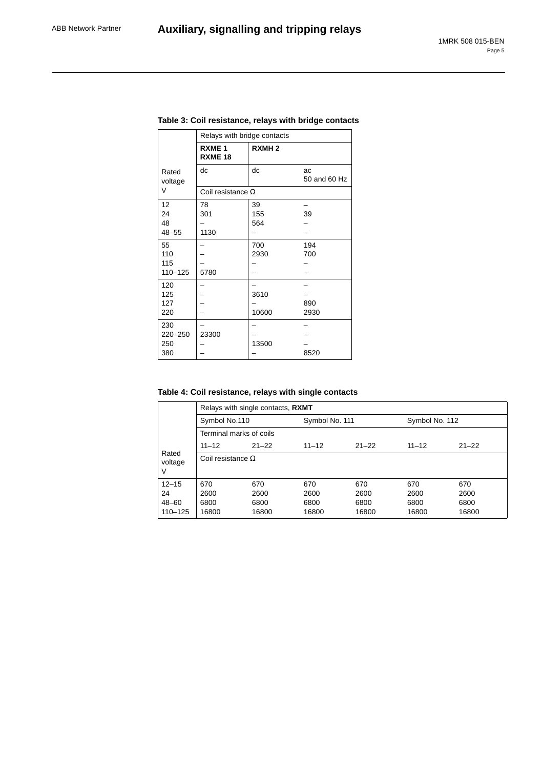|                                 | Relays with bridge contacts         |                   |                    |
|---------------------------------|-------------------------------------|-------------------|--------------------|
|                                 | RXME <sub>1</sub><br><b>RXME 18</b> | RXMH <sub>2</sub> |                    |
| Rated<br>voltage                | dc                                  | dc                | ac<br>50 and 60 Hz |
| V                               | Coil resistance $\Omega$            |                   |                    |
| 12<br>24<br>48<br>$48 - 55$     | 78<br>301<br>1130                   | 39<br>155<br>564  | 39                 |
| 55<br>110<br>115<br>$110 - 125$ | 5780                                | 700<br>2930       | 194<br>700         |
| 120<br>125<br>127<br>220        |                                     | 3610<br>10600     | 890<br>2930        |
| 230<br>220-250<br>250<br>380    | 23300                               | 13500             | 8520               |

### **Table 3: Coil resistance, relays with bridge contacts**

# **Table 4: Coil resistance, relays with single contacts**

|                       | Relays with single contacts, RXMT        |           |                |           |                |           |  |  |
|-----------------------|------------------------------------------|-----------|----------------|-----------|----------------|-----------|--|--|
|                       | Symbol No.110<br>Terminal marks of coils |           | Symbol No. 111 |           | Symbol No. 112 |           |  |  |
|                       |                                          |           |                |           |                |           |  |  |
|                       | $11 - 12$                                | $21 - 22$ | $11 - 12$      | $21 - 22$ | $11 - 12$      | $21 - 22$ |  |  |
| Rated<br>voltage<br>V | Coil resistance $\Omega$                 |           |                |           |                |           |  |  |
| $12 - 15$             | 670                                      | 670       | 670            | 670       | 670            | 670       |  |  |
| 24                    | 2600                                     | 2600      | 2600           | 2600      | 2600           | 2600      |  |  |
| 48-60                 | 6800                                     | 6800      | 6800           | 6800      | 6800           | 6800      |  |  |
| $110 - 125$           | 16800                                    | 16800     | 16800          | 16800     | 16800          | 16800     |  |  |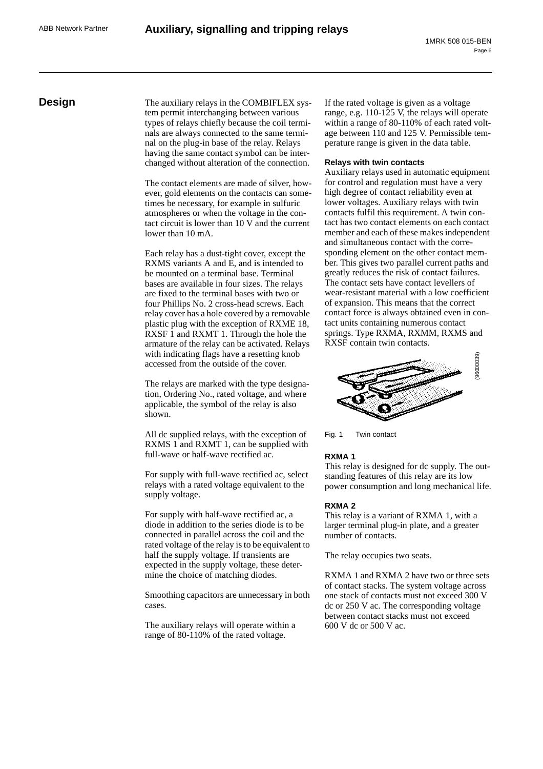**Design** The auxiliary relays in the COMBIFLEX system permit interchanging between various types of relays chiefly because the coil terminals are always connected to the same terminal on the plug-in base of the relay. Relays having the same contact symbol can be interchanged without alteration of the connection.

> The contact elements are made of silver, however, gold elements on the contacts can sometimes be necessary, for example in sulfuric atmospheres or when the voltage in the contact circuit is lower than 10 V and the current lower than 10 mA.

> Each relay has a dust-tight cover, except the RXMS variants A and E, and is intended to be mounted on a terminal base. Terminal bases are available in four sizes. The relays are fixed to the terminal bases with two or four Phillips No. 2 cross-head screws. Each relay cover has a hole covered by a removable plastic plug with the exception of RXME 18, RXSF 1 and RXMT 1. Through the hole the armature of the relay can be activated. Relays with indicating flags have a resetting knob accessed from the outside of the cover.

The relays are marked with the type designation, Ordering No., rated voltage, and where applicable, the symbol of the relay is also shown.

All dc supplied relays, with the exception of RXMS 1 and RXMT 1, can be supplied with full-wave or half-wave rectified ac.

For supply with full-wave rectified ac, select relays with a rated voltage equivalent to the supply voltage.

For supply with half-wave rectified ac, a diode in addition to the series diode is to be connected in parallel across the coil and the rated voltage of the relay is to be equivalent to half the supply voltage. If transients are expected in the supply voltage, these determine the choice of matching diodes.

Smoothing capacitors are unnecessary in both cases.

The auxiliary relays will operate within a range of 80-110% of the rated voltage.

If the rated voltage is given as a voltage range, e.g. 110-125 V, the relays will operate within a range of 80-110% of each rated voltage between 110 and 125 V. Permissible temperature range is given in the data table.

#### **Relays with twin contacts**

Auxiliary relays used in automatic equipment for control and regulation must have a very high degree of contact reliability even at lower voltages. Auxiliary relays with twin contacts fulfil this requirement. A twin contact has two contact elements on each contact member and each of these makes independent and simultaneous contact with the corresponding element on the other contact member. This gives two parallel current paths and greatly reduces the risk of contact failures. The contact sets have contact levellers of wear-resistant material with a low coefficient of expansion. This means that the correct contact force is always obtained even in contact units containing numerous contact springs. Type RXMA, RXMM, RXMS and RXSF contain twin contacts.



Fig. 1 Twin contact

#### **RXMA 1**

This relay is designed for dc supply. The outstanding features of this relay are its low power consumption and long mechanical life.

#### **RXMA 2**

This relay is a variant of RXMA 1, with a larger terminal plug-in plate, and a greater number of contacts.

The relay occupies two seats.

RXMA 1 and RXMA 2 have two or three sets of contact stacks. The system voltage across one stack of contacts must not exceed 300 V dc or 250 V ac. The corresponding voltage between contact stacks must not exceed 600 V dc or 500 V ac.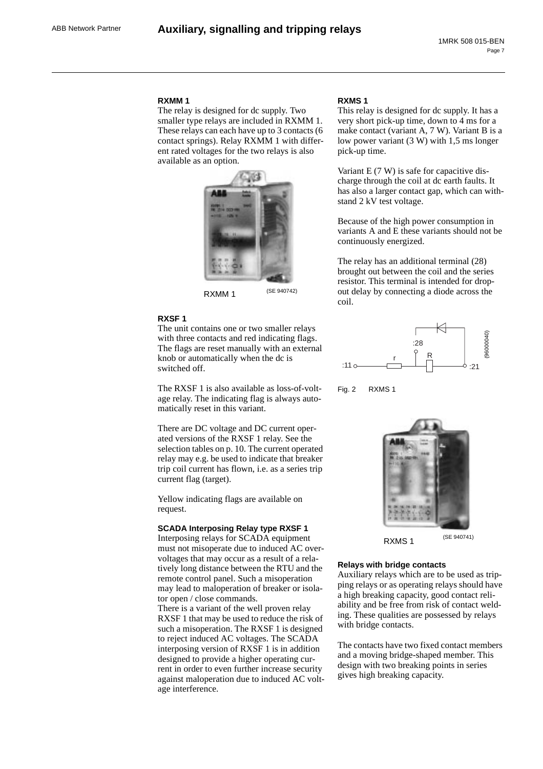#### **RXMM 1**

The relay is designed for dc supply. Two smaller type relays are included in RXMM 1. These relays can each have up to 3 contacts (6 contact springs). Relay RXMM 1 with different rated voltages for the two relays is also available as an option.



RXMM 1 (SE 940742)

#### **RXSF 1**

The unit contains one or two smaller relays with three contacts and red indicating flags. The flags are reset manually with an external knob or automatically when the dc is switched off.

The RXSF 1 is also available as loss-of-voltage relay. The indicating flag is always automatically reset in this variant.

There are DC voltage and DC current operated versions of the RXSF 1 relay. See the selection tables on p. 10. The current operated relay may e.g. be used to indicate that breaker trip coil current has flown, i.e. as a series trip current flag (target).

Yellow indicating flags are available on request.

#### **SCADA Interposing Relay type RXSF 1**

Interposing relays for SCADA equipment must not misoperate due to induced AC overvoltages that may occur as a result of a relatively long distance between the RTU and the remote control panel. Such a misoperation may lead to maloperation of breaker or isolator open / close commands.

There is a variant of the well proven relay RXSF 1 that may be used to reduce the risk of such a misoperation. The RXSF 1 is designed to reject induced AC voltages. The SCADA interposing version of RXSF 1 is in addition designed to provide a higher operating current in order to even further increase security against maloperation due to induced AC voltage interference.

#### **RXMS 1**

This relay is designed for dc supply. It has a very short pick-up time, down to 4 ms for a make contact (variant A, 7 W). Variant B is a low power variant (3 W) with 1,5 ms longer pick-up time.

Variant E (7 W) is safe for capacitive discharge through the coil at dc earth faults. It has also a larger contact gap, which can withstand 2 kV test voltage.

Because of the high power consumption in variants A and E these variants should not be continuously energized.

The relay has an additional terminal (28) brought out between the coil and the series resistor. This terminal is intended for dropout delay by connecting a diode across the coil.







**Relays with bridge contacts**

Auxiliary relays which are to be used as tripping relays or as operating relays should have a high breaking capacity, good contact reliability and be free from risk of contact welding. These qualities are possessed by relays with bridge contacts.

The contacts have two fixed contact members and a moving bridge-shaped member. This design with two breaking points in series gives high breaking capacity.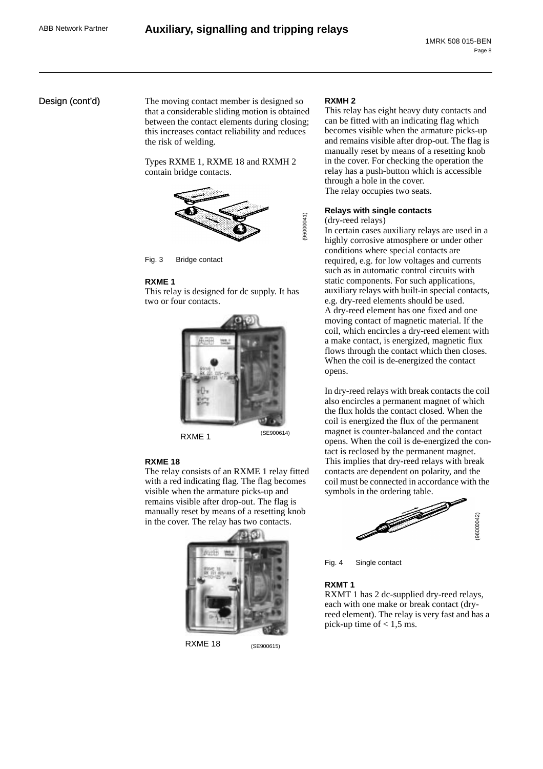### Design (cont'd)

The moving contact member is designed so that a considerable sliding motion is obtained between the contact elements during closing; this increases contact reliability and reduces the risk of welding.

Types RXME 1, RXME 18 and RXMH 2 contain bridge contacts.



Fig. 3 Bridge contact

#### **RXME 1**

This relay is designed for dc supply. It has two or four contacts.



#### **RXME 18**

The relay consists of an RXME 1 relay fitted with a red indicating flag. The flag becomes visible when the armature picks-up and remains visible after drop-out. The flag is manually reset by means of a resetting knob in the cover. The relay has two contacts.



RXME 18 (SE900615)

#### **RXMH 2**

This relay has eight heavy duty contacts and can be fitted with an indicating flag which becomes visible when the armature picks-up and remains visible after drop-out. The flag is manually reset by means of a resetting knob in the cover. For checking the operation the relay has a push-button which is accessible through a hole in the cover. The relay occupies two seats.

# **Relays with single contacts**

(dry-reed relays)

(96000041)

96000041)

In certain cases auxiliary relays are used in a highly corrosive atmosphere or under other conditions where special contacts are required, e.g. for low voltages and currents such as in automatic control circuits with static components. For such applications, auxiliary relays with built-in special contacts, e.g. dry-reed elements should be used. A dry-reed element has one fixed and one moving contact of magnetic material. If the coil, which encircles a dry-reed element with a make contact, is energized, magnetic flux flows through the contact which then closes. When the coil is de-energized the contact opens.

In dry-reed relays with break contacts the coil also encircles a permanent magnet of which the flux holds the contact closed. When the coil is energized the flux of the permanent magnet is counter-balanced and the contact opens. When the coil is de-energized the contact is reclosed by the permanent magnet. This implies that dry-reed relays with break contacts are dependent on polarity, and the coil must be connected in accordance with the symbols in the ordering table.



Fig. 4 Single contact

#### **RXMT 1**

RXMT 1 has 2 dc-supplied dry-reed relays, each with one make or break contact (dryreed element). The relay is very fast and has a pick-up time of  $< 1.5$  ms.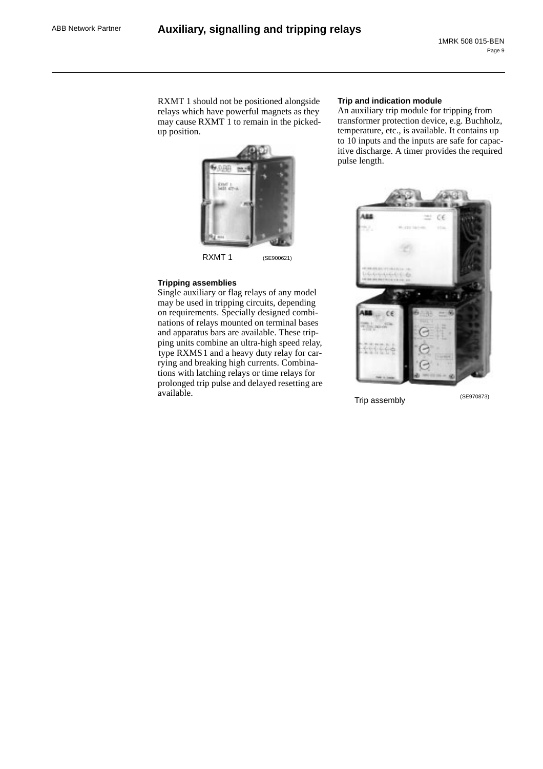RXMT 1 should not be positioned alongside relays which have powerful magnets as they may cause RXMT 1 to remain in the pickedup position.



RXMT 1 (SE900621)

### **Tripping assemblies**

Single auxiliary or flag relays of any model may be used in tripping circuits, depending on requirements. Specially designed combinations of relays mounted on terminal bases and apparatus bars are available. These tripping units combine an ultra-high speed relay, type RXMS1 and a heavy duty relay for carrying and breaking high currents. Combinations with latching relays or time relays for prolonged trip pulse and delayed resetting are available.

#### **Trip and indication module**

An auxiliary trip module for tripping from transformer protection device, e.g. Buchholz, temperature, etc., is available. It contains up to 10 inputs and the inputs are safe for capacitive discharge. A timer provides the required pulse length.



Trip assembly (SE970873)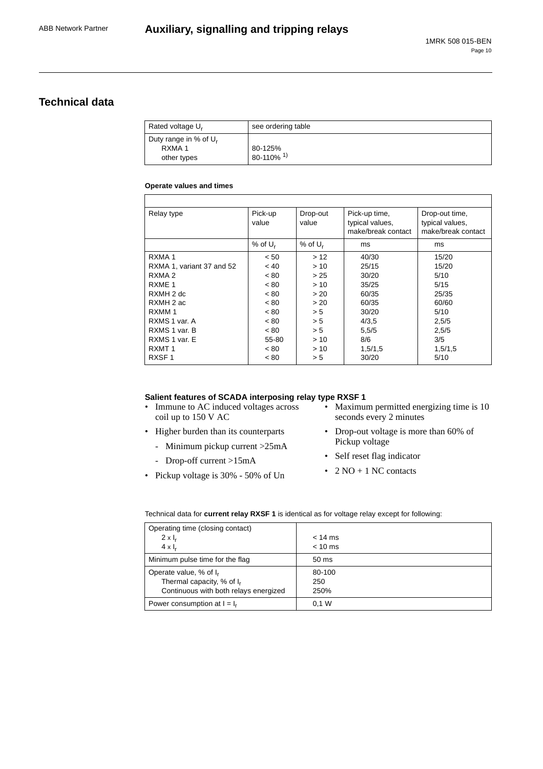# **Technical data**

| Rated voltage U <sub>r</sub>                                 | see ordering table                  |
|--------------------------------------------------------------|-------------------------------------|
| Duty range in % of $U_r$<br>RXMA <sub>1</sub><br>other types | 80-125%<br>$80-110\%$ <sup>1)</sup> |

#### **Operate values and times**

| Relay type                | Pick-up<br>value      | Drop-out<br>value     | Pick-up time,<br>typical values,<br>make/break contact | Drop-out time,<br>typical values,<br>make/break contact |
|---------------------------|-----------------------|-----------------------|--------------------------------------------------------|---------------------------------------------------------|
|                           | $%$ of U <sub>r</sub> | $%$ of U <sub>r</sub> | ms                                                     | ms                                                      |
| RXMA <sub>1</sub>         | < 50                  | >12                   | 40/30                                                  | 15/20                                                   |
| RXMA 1, variant 37 and 52 | ~< 40                 | > 10                  | 25/15                                                  | 15/20                                                   |
| RXMA <sub>2</sub>         | < 80                  | > 25                  | 30/20                                                  | 5/10                                                    |
| RXME <sub>1</sub>         | < 80                  | > 10                  | 35/25                                                  | 5/15                                                    |
| RXMH 2 dc                 | < 80                  | > 20                  | 60/35                                                  | 25/35                                                   |
| RXMH 2 ac                 | < 80                  | > 20                  | 60/35                                                  | 60/60                                                   |
| RXMM 1                    | < 80                  | > 5                   | 30/20                                                  | 5/10                                                    |
| RXMS 1 var. A             | < 80                  | > 5                   | 4/3,5                                                  | 2,5/5                                                   |
| RXMS 1 var. B             | < 80                  | > 5                   | 5,5/5                                                  | 2,5/5                                                   |
| RXMS 1 var. E             | 55-80                 | >10                   | 8/6                                                    | 3/5                                                     |
| RXMT <sub>1</sub>         | < 80                  | >10                   | 1,5/1,5                                                | 1,5/1,5                                                 |
| RXSF <sub>1</sub>         | < 80                  | > 5                   | 30/20                                                  | 5/10                                                    |

# **Salient features of SCADA interposing relay type RXSF 1**

- Immune to AC induced voltages across coil up to 150 V AC
- Higher burden than its counterparts
	- Minimum pickup current >25mA
	- Drop-off current >15mA
- Pickup voltage is 30% 50% of Un
- Maximum permitted energizing time is 10 seconds every 2 minutes
- Drop-out voltage is more than 60% of Pickup voltage
- Self reset flag indicator
- $2 NO + 1 NC$  contacts

Technical data for **current relay RXSF 1** is identical as for voltage relay except for following:

| Operating time (closing contact)      |                 |
|---------------------------------------|-----------------|
| $2 \times I_r$                        | $<$ 14 ms       |
| $4 \times I_r$                        | $< 10$ ms       |
| Minimum pulse time for the flag       | $50 \text{ ms}$ |
| Operate value, % of I <sub>r</sub>    | 80-100          |
| Thermal capacity, % of I <sub>r</sub> | 250             |
| Continuous with both relays energized | 250%            |
| Power consumption at $I = I_r$        | 0.1 W           |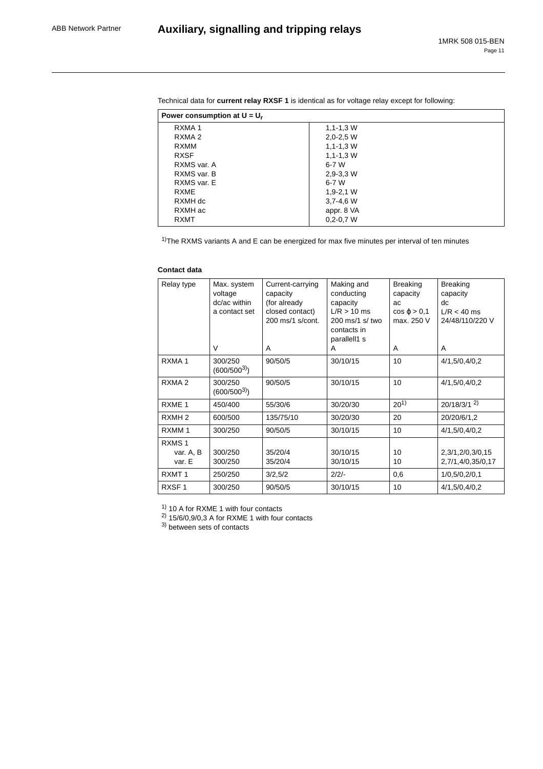| $1, 1 - 1, 3$ W |
|-----------------|
| $2,0-2,5$ W     |
| $1, 1 - 1, 3$ W |
| $1, 1 - 1, 3$ W |
| 6-7 W           |
| $2,9-3,3$ W     |
| 6-7 W           |
| $1,9-2,1$ W     |
| $3,7-4,6$ W     |
| appr. 8 VA      |
| $0.2 - 0.7 W$   |
|                 |

Technical data for **current relay RXSF 1** is identical as for voltage relay except for following:

 $1$ <sup>T</sup>he RXMS variants A and E can be energized for max five minutes per interval of ten minutes

#### **Contact data**

| Relay type                               | Max. system<br>voltage<br>dc/ac within<br>a contact set<br>V | Current-carrying<br>capacity<br>(for already<br>closed contact)<br>200 ms/1 s/cont.<br>A | Making and<br>conducting<br>capacity<br>$L/R > 10$ ms<br>200 ms/1 s/ two<br>contacts in<br>parallell1 s<br>A | <b>Breaking</b><br>capacity<br>ac<br>$\cos \varphi > 0.1$<br>max. 250 V<br>A | <b>Breaking</b><br>capacity<br>dc<br>$L/R < 40$ ms<br>24/48/110/220 V<br>A |
|------------------------------------------|--------------------------------------------------------------|------------------------------------------------------------------------------------------|--------------------------------------------------------------------------------------------------------------|------------------------------------------------------------------------------|----------------------------------------------------------------------------|
| RXMA <sub>1</sub>                        | 300/250<br>$(600/500^{3})$                                   | 90/50/5                                                                                  | 30/10/15                                                                                                     | 10                                                                           | 4/1,5/0,4/0,2                                                              |
| RXMA <sub>2</sub>                        | 300/250<br>$(600/500^{3})$                                   | 90/50/5                                                                                  | 30/10/15                                                                                                     | 10                                                                           | 4/1,5/0,4/0,2                                                              |
| RXME <sub>1</sub>                        | 450/400                                                      | 55/30/6                                                                                  | 30/20/30                                                                                                     | $20^{1}$                                                                     | 20/18/3/1 <sup>2</sup>                                                     |
| RXMH <sub>2</sub>                        | 600/500                                                      | 135/75/10                                                                                | 30/20/30                                                                                                     | 20                                                                           | 20/20/6/1,2                                                                |
| RXMM <sub>1</sub>                        | 300/250                                                      | 90/50/5                                                                                  | 30/10/15                                                                                                     | 10                                                                           | 4/1,5/0,4/0,2                                                              |
| RXMS <sub>1</sub><br>var. A, B<br>var. E | 300/250<br>300/250                                           | 35/20/4<br>35/20/4                                                                       | 30/10/15<br>30/10/15                                                                                         | 10<br>10                                                                     | 2,3/1,2/0,3/0,15<br>2,7/1,4/0,35/0,17                                      |
| RXMT <sub>1</sub>                        | 250/250                                                      | 3/2,5/2                                                                                  | $2/2/-$                                                                                                      | 0,6                                                                          | 1/0, 5/0, 2/0, 1                                                           |
| RXSF <sub>1</sub>                        | 300/250                                                      | 90/50/5                                                                                  | 30/10/15                                                                                                     | 10                                                                           | 4/1,5/0,4/0,2                                                              |

 $1)$  10 A for RXME 1 with four contacts

 $^{2)}$  15/6/0,9/0,3 A for RXME 1 with four contacts

<sup>3)</sup> between sets of contacts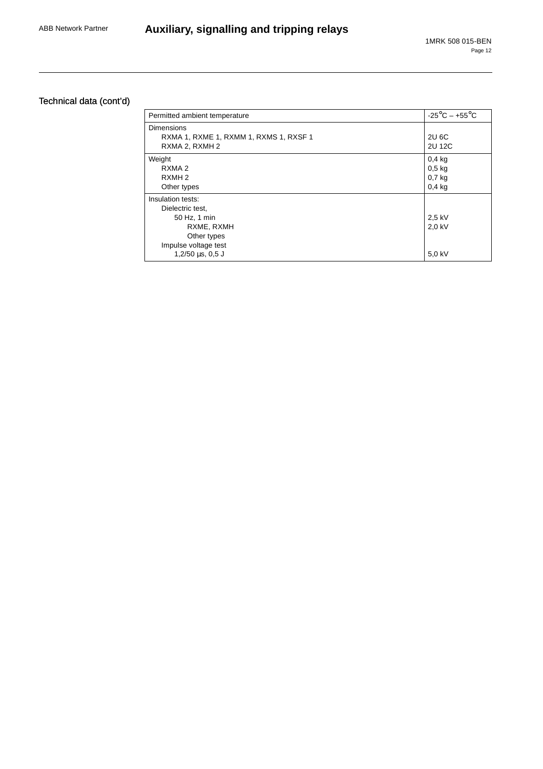# Technical data (cont'd)

| Permitted ambient temperature                                                                                                          | $-25^{\circ}$ C – $+55^{\circ}$ C                              |
|----------------------------------------------------------------------------------------------------------------------------------------|----------------------------------------------------------------|
| Dimensions<br>RXMA 1, RXME 1, RXMM 1, RXMS 1, RXSF 1<br>RXMA 2, RXMH 2                                                                 | 2U 6C<br>2U 12C                                                |
| Weight<br>RXMA <sub>2</sub><br>RXMH <sub>2</sub><br>Other types                                                                        | 0.4 <sub>kg</sub><br>$0,5$ kg<br>0.7 <sub>kg</sub><br>$0,4$ kg |
| Insulation tests:<br>Dielectric test,<br>50 Hz, 1 min<br>RXME, RXMH<br>Other types<br>Impulse voltage test<br>$1,2/50 \,\mu s$ , 0,5 J | 2.5 kV<br>2.0 kV<br>5,0 kV                                     |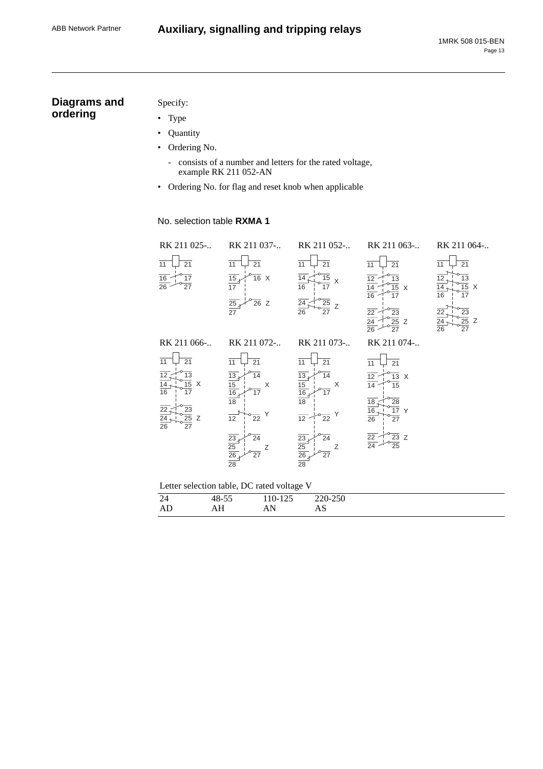# **Auxiliary, signalling and tripping relays**

# **Diagrams and ordering**

# Specify:

- Type
- Quantity
- Ordering No.
	- consists of a number and letters for the rated voltage, example RK 211 052-AN
- Ordering No. for flag and reset knob when applicable

# No. selection table **RXMA 1**

| RK 211 025-                                                                                                                                         | RK 211 037-                                                                                                                                                                                                                 | RK 211 052-                                                                                                                                                                                                                          | RK 211 063-                                                                                                                                                  | RK 211 064-                                                                                                                                                        |
|-----------------------------------------------------------------------------------------------------------------------------------------------------|-----------------------------------------------------------------------------------------------------------------------------------------------------------------------------------------------------------------------------|--------------------------------------------------------------------------------------------------------------------------------------------------------------------------------------------------------------------------------------|--------------------------------------------------------------------------------------------------------------------------------------------------------------|--------------------------------------------------------------------------------------------------------------------------------------------------------------------|
| 21<br>11<br>16<br>$\overline{17}$<br>$\overline{26}$<br>$\overline{27}$                                                                             | $\overline{21}$<br>11<br>$\frac{15}{17}$<br>$\overline{16}$ X<br>$\frac{25}{27}$<br>$\overline{26}$ Z                                                                                                                       | $\overline{11}$<br>21<br>14<br>15<br>X<br>16<br>17<br>25<br>Ζ<br>26<br>27                                                                                                                                                            | 21<br>11<br>$\overline{13}$<br>12<br>$\overline{15}$ X<br>16<br>17<br>23<br>22<br>$\overline{25}$ Z<br>$\overline{24}$<br>$\overline{26}$<br>$\overline{27}$ | $\overline{21}$<br>11<br>$\overline{13}$<br>12<br>$\overline{15}$ X<br>14<br>17<br>16<br>23<br>22<br>$\overline{25}$ Z<br>24<br>$\overline{26}$<br>$\overline{27}$ |
| RK 211 066-                                                                                                                                         | RK 211 072-                                                                                                                                                                                                                 | RK 211 073-                                                                                                                                                                                                                          | RK 211 074-                                                                                                                                                  |                                                                                                                                                                    |
| 11<br>21<br>$\overline{13}$<br>12<br>$\overline{15}$ X<br>$\overline{16}$<br>17<br>$\frac{\overline{23}}{\frac{25}{27}}$ Z<br>22<br>$\frac{24}{26}$ | $\overline{21}$<br>11<br>$\overline{13}$<br>14<br>$\frac{15}{16}$ $\frac{16}{18}$<br>Χ<br>17<br>Y<br>$\overline{12}$<br>$\overline{22}$<br>$\overline{24}$<br>$\frac{23}{25}$ $\frac{25}{26}$<br>Ζ<br>27<br>$\overline{28}$ | $\overline{11}$<br>21<br>$\overline{13}$<br>14<br>$\frac{15}{16}$<br>X<br>17<br>$\overline{18}$<br>Υ<br>$\overline{12}$<br>$\overline{22}$<br>$\frac{\overline{23}}{\frac{25}{26}}$<br>$\overline{24}$<br>Z<br>27<br>$\overline{28}$ | 21<br>11<br>$\overline{13}$ X<br>12<br>$\overline{15}$<br>14<br>28<br>18.<br>$\overline{17}$ Y<br>16<br>27<br>26<br>$\frac{23}{25}$ Z<br>$\frac{22}{24}$     |                                                                                                                                                                    |
|                                                                                                                                                     | Letter selection table, DC rated voltage V                                                                                                                                                                                  |                                                                                                                                                                                                                                      |                                                                                                                                                              |                                                                                                                                                                    |
| 24                                                                                                                                                  | 110-125<br>48-55                                                                                                                                                                                                            | 220-250                                                                                                                                                                                                                              |                                                                                                                                                              |                                                                                                                                                                    |
| AD                                                                                                                                                  | AH<br>AN                                                                                                                                                                                                                    | AS                                                                                                                                                                                                                                   |                                                                                                                                                              |                                                                                                                                                                    |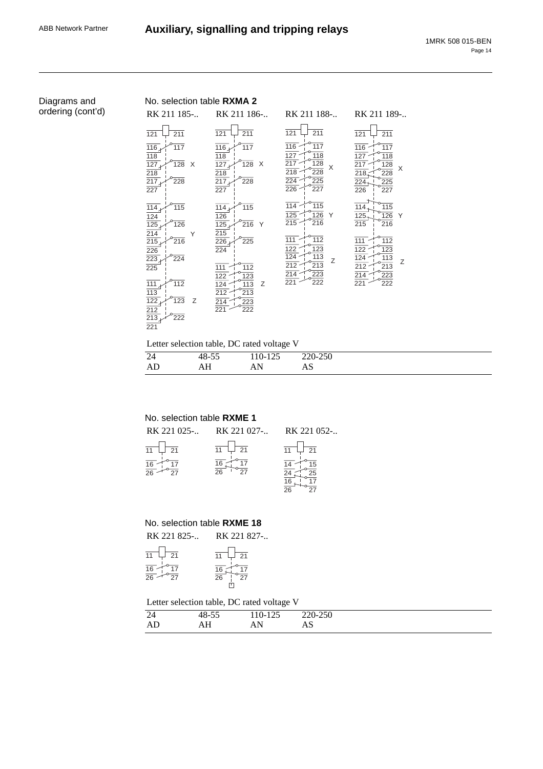# Diagrams and ordering (cont'd)

# No. selection table **RXMA 2**

| RK 211 185-                                                                                                                                   | RK 211 186-                                                                                                                              | RK 211 188-                                                                                            | RK 211 189-                                                                                                      |
|-----------------------------------------------------------------------------------------------------------------------------------------------|------------------------------------------------------------------------------------------------------------------------------------------|--------------------------------------------------------------------------------------------------------|------------------------------------------------------------------------------------------------------------------|
| 211<br>121                                                                                                                                    | 211<br>121                                                                                                                               | 121<br>211                                                                                             | 211<br>121                                                                                                       |
| $\overline{116}$<br>$\frac{1}{117}$<br>$\overline{118}$<br>127 <sub>4</sub><br>128<br>X<br>$\overline{218}$<br>$\overline{217}$<br>228<br>227 | $\overline{116}$<br>$\overline{117}$<br>118<br>$\overline{127}$<br>$\overline{128}$<br>$\times$<br>218<br>$\overline{217}$<br>228<br>227 | 116<br>117<br>127<br>118<br>$\overline{217}$<br>128<br>X<br>$218 -$<br>228<br>224<br>225<br>226<br>227 | $\overline{116}$<br>$\overline{117}$<br>127<br>118<br>217<br>128<br>X<br>218.<br>228<br>224<br>225<br>226<br>227 |
| $\overline{114}$<br>115<br>$\frac{124}{125}$<br>126                                                                                           | $\overline{115}$<br>114<br>126<br>216<br>$125_{\star}$<br>Y                                                                              | 114<br>115<br>$\overline{125}$<br>126<br>Y<br>$\frac{1}{215}$<br>216                                   | 115<br>114<br>126<br>125<br>Υ<br>216<br>215                                                                      |
| 214<br>Y<br>215 <sub>k</sub><br>216<br>$\overline{226}$<br>223<br>224<br>225                                                                  | 215<br>225<br>$\frac{226}{ }$<br>224<br>112<br>111                                                                                       | 112<br>111<br>123<br>$\frac{122}{124}$<br>113<br>Ζ<br>212<br>213                                       | 112<br>111<br>122<br>123<br>124<br>113<br>Ζ<br>212<br>213                                                        |
| $\overline{111}$<br>112<br>113<br>$\overline{122}$<br>123<br>Ζ<br>$\frac{212}{2}$<br>213<br>222<br>221                                        | 123<br>122<br>$\overline{124}$<br>113<br>Ζ<br>$\overline{212}$<br>$\overline{213}$<br>$\overline{214}$<br>223<br>221<br>222              | 214<br>223<br>221<br>222                                                                               | 214<br>223<br>221<br>222                                                                                         |

### Letter selection table, DC rated voltage V

|                 |                            | $\tilde{\phantom{a}}$                                    |                             |
|-----------------|----------------------------|----------------------------------------------------------|-----------------------------|
| $\bigcap$<br>24 | $ -$<br>$\sqrt{ }$<br>40-. | $\sim$ $\sim$ $\sim$<br>1 <sub>0</sub><br>$10 -$<br>ل ⊿⊥ | $\Omega$<br>$220 -$<br>-250 |
|                 | ັບ                         |                                                          | $\sim$                      |
| AD              | .                          | 1.11                                                     | ΓW                          |
|                 | ----                       |                                                          |                             |

# No. selection table **RXME 1**

|                               | RK 221 025- RK 221 027- RK 221 052- |                               |
|-------------------------------|-------------------------------------|-------------------------------|
| $\frac{1}{11}$ $\frac{1}{21}$ | $\frac{1}{11}$ $\frac{1}{21}$       | $\frac{1}{11}$ $\frac{1}{21}$ |
|                               |                                     |                               |

## No. selection table **RXME 18**

| RK 221 825-                   | RK 221 827-                   |
|-------------------------------|-------------------------------|
| $\frac{1}{11}$ $\frac{1}{21}$ | $\frac{1}{11}$ $\frac{1}{21}$ |
| $\frac{1}{16}$<br>26          | $16-$                         |

# Letter selection table, DC rated voltage V

| $\sim$<br>44 | $\sim$ $\sim$<br>10<br>40-'<br>ر ر- | 10 <sub>7</sub><br>$\Omega$<br>$10 - 1$ . | 220 250<br>-250<br>$\mathbf{I}$<br>∠∠∪- |
|--------------|-------------------------------------|-------------------------------------------|-----------------------------------------|
| AD           | ----                                | N.<br><b>TIT</b>                          | טרז                                     |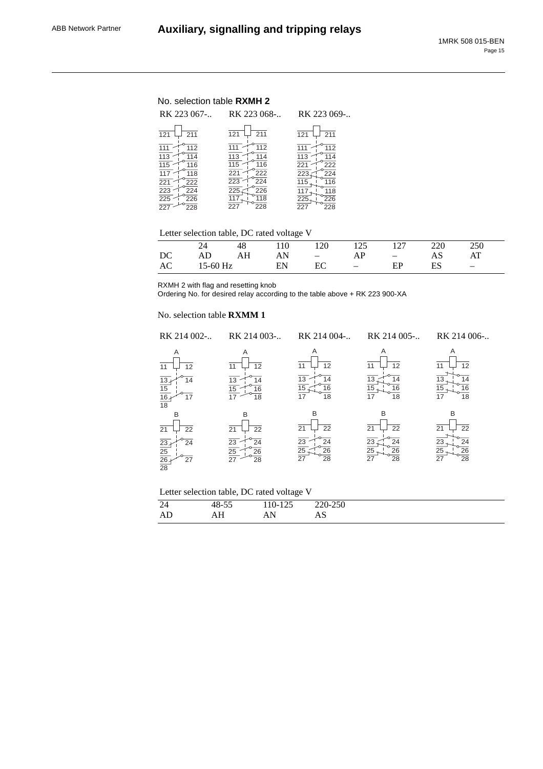# No. selection table **RXMH 2**

| RK 223 067-                                                                                                              | RK 223 068-                                                                                                                    | RK 223 069-                                                                             |
|--------------------------------------------------------------------------------------------------------------------------|--------------------------------------------------------------------------------------------------------------------------------|-----------------------------------------------------------------------------------------|
| 121                                                                                                                      | 211                                                                                                                            | 211                                                                                     |
| 211                                                                                                                      | 121                                                                                                                            | 121                                                                                     |
| 112<br>$\frac{113}{115}$<br>114<br>116<br>117<br>118<br>$\overline{221}$<br>222<br>223<br>224<br>$\overline{225}$<br>226 | 112<br>114<br>113<br>115<br>116<br>222<br>221<br>$\overline{224}$<br>$\overline{223}$<br>226<br>225<br>$\overline{118}$<br>117 | 112<br>113<br>114<br>222<br>221<br>223<br>224<br>116<br>115<br>118<br>117<br>225<br>226 |
| $\overline{227}$                                                                                                         | 227                                                                                                                            | 228                                                                                     |
| 228                                                                                                                      | 228                                                                                                                            | 227                                                                                     |

# Letter selection table, DC rated voltage V

|  | 48 110         |    | 120 125 127 220 250               |    |    |                                |  |
|--|----------------|----|-----------------------------------|----|----|--------------------------------|--|
|  | DC AD AH       |    | $AN$ $ AP$ $-$                    |    | AS | AT                             |  |
|  | AC 15-60 Hz EN | EC | <b>Contract Contract Contract</b> | EP | ES | <b>Contract Contract State</b> |  |

RXMH 2 with flag and resetting knob

Ordering No. for desired relay according to the table above + RK 223 900-XA

#### No. selection table **RXMM 1**

| RK 214 002-                                                                        | RK 214 003-                                                        | RK 214 004-                                                                              | RK 214 005-                                                    | RK 214 006-                                                           |
|------------------------------------------------------------------------------------|--------------------------------------------------------------------|------------------------------------------------------------------------------------------|----------------------------------------------------------------|-----------------------------------------------------------------------|
| Α<br>12<br>11<br>13.<br>14<br>$\frac{15}{\frac{16}{18}}$<br>17                     | Α<br>12<br>11<br>13<br>14<br>$\overline{15}$<br>16<br>18           | Α<br>12<br>11<br>13<br>14<br>15<br>16<br>17<br>18                                        | A<br>12<br>11<br>13<br>14<br>15<br>16<br>17<br>18              | Α<br>12<br>11<br>14<br>13<br>15<br>16<br>17<br>18                     |
| B<br>22<br>21<br>$\frac{23}{25}$<br>$\frac{25}{26}$<br>24<br>27<br>$\overline{28}$ | B<br>21<br>22<br>$\frac{23}{25}$ $\frac{25}{27}$<br>24<br>26<br>28 | B<br>22<br>21<br>$\overline{23}$<br>24<br>$\overline{25}$<br>26<br>$\overline{27}$<br>28 | B<br>22<br>21<br>23<br>24<br>$\overline{26}$<br>25<br>28<br>27 | B<br>22<br>21<br>$\frac{23}{25}$<br>24<br>26<br>$\overline{27}$<br>28 |

| Letter selection table, DC rated voltage V |  |  |
|--------------------------------------------|--|--|
|--------------------------------------------|--|--|

| 24 | $ -$<br>$\Omega$<br>∼-<br>TU JJ | $-$<br>11V-<br>ل کے ا | 220.250<br>-25U<br>--<br>$\overline{\phantom{a}}$ |
|----|---------------------------------|-----------------------|---------------------------------------------------|
| AD | $ -$<br>.<br>----               | N.<br>$\overline{11}$ | ΓW                                                |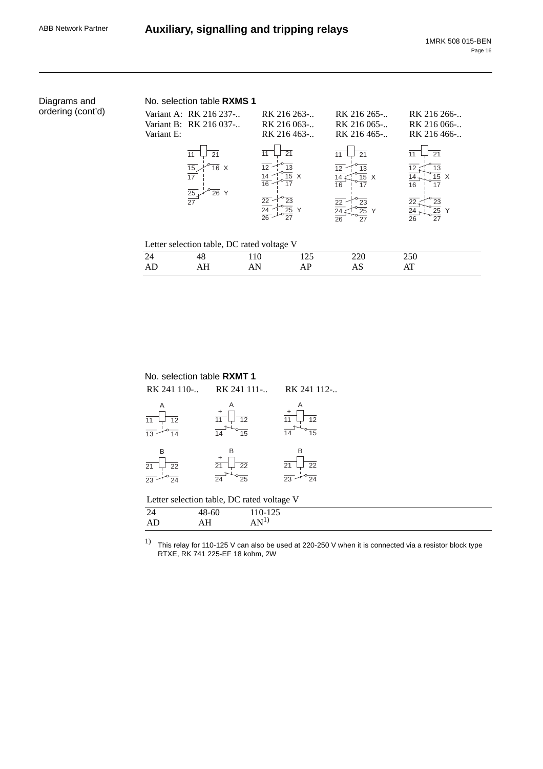| Diagrams and      |            | No. selection table RXMS 1                       |                                           |                                           |                                           |
|-------------------|------------|--------------------------------------------------|-------------------------------------------|-------------------------------------------|-------------------------------------------|
| ordering (cont'd) | Variant E: | Variant A: RK 216 237-<br>Variant B: RK 216 037- | RK 216 263-<br>RK 216 063-<br>RK 216 463- | RK 216 265-<br>RK 216 065-<br>RK 216 465- | RK 216 266-<br>RK 216 066-<br>RK 216 466- |
|                   |            | 11<br>21                                         | 21<br>11                                  | 11<br>21                                  | 21<br>11                                  |
|                   |            | $\frac{15}{17}$<br>$\overline{16}$ X             | 15 X<br>14<br>16<br>17                    | 12<br>13<br>15 X<br>17<br>16              | 13<br>15 X<br>17<br>16                    |
|                   |            | $\frac{25}{27}$<br>$\overline{26}$ Y             | 22<br>23<br>24<br>25                      | $\overline{22}$<br>23<br>24<br>25<br>Y    | 23<br>22<br>25                            |
|                   |            |                                                  | 26<br>27                                  | 27<br>26                                  | $\overline{27}$<br>26                     |
|                   |            | Letter selection table, DC rated voltage V       |                                           |                                           |                                           |
|                   | 24         | 48                                               | 125<br>110                                | 220                                       | 250                                       |
|                   | AD         | AH                                               | AP<br>AN                                  | AS                                        | AT                                        |

| No. selection table <b>RXMT 1</b>          |                                        |         |               |
|--------------------------------------------|----------------------------------------|---------|---------------|
| RK 241 110-                                | RK 241 111-                            |         | RK 241 112-   |
| A<br>12<br>11                              | A<br>12<br>14<br>15                    |         | Α<br>12<br>15 |
| B<br>21<br>22<br>23<br>24                  | B<br>21<br>22<br>$\overline{24}$<br>25 | B<br>21 | 22<br>24      |
| Letter selection table, DC rated voltage V |                                        |         |               |
| 24                                         | 48-60                                  | 110-125 |               |
| AIJ                                        | ΑН                                     |         |               |

 $^{1)}$  This relay for 110-125 V can also be used at 220-250 V when it is connected via a resistor block type RTXE, RK 741 225-EF 18 kohm, 2W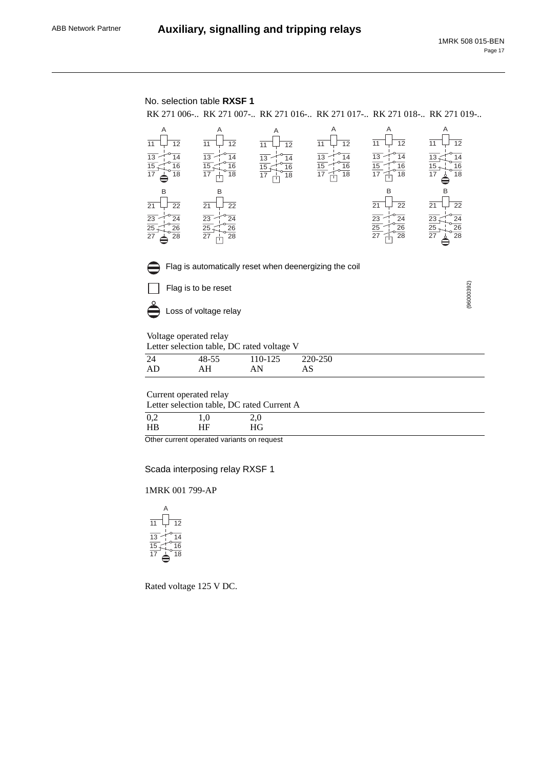

|                |                            | ___              |         |
|----------------|----------------------------|------------------|---------|
| 44             | $ -$<br>10<br>40-<br>⊤ບ−ບພ | $10^{-1}$<br>14J | 220-250 |
| $\overline{ }$ | 71 L<br>----               | .                | טרז     |

Current operated relay

| Letter selection table, DC rated Current A |    |    |  |  |
|--------------------------------------------|----|----|--|--|
| 0,2                                        |    |    |  |  |
| H <sub>B</sub>                             | ΗF | НG |  |  |

Other current operated variants on request

Scada interposing relay RXSF 1

1MRK 001 799-AP



Rated voltage 125 V DC.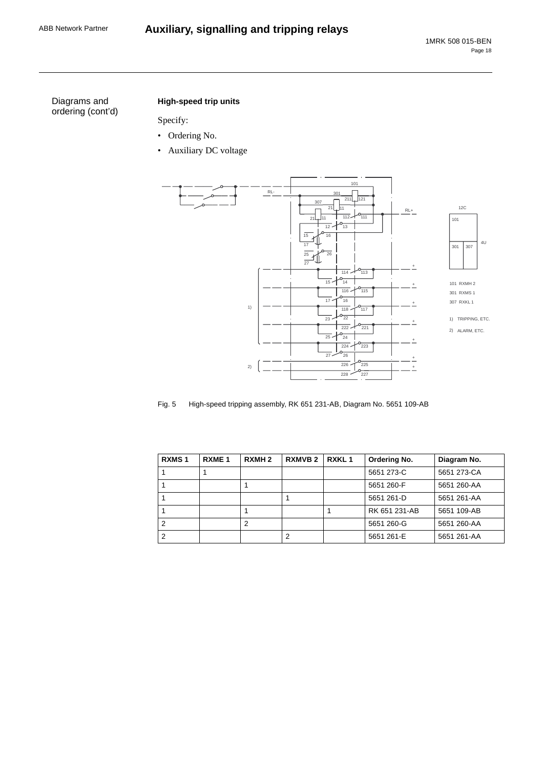# ABB Network Partner **Auxiliary, signalling and tripping relays**

Diagrams and ordering (cont'd)

# **High-speed trip units**

Specify:

- Ordering No.
- Auxiliary DC voltage



Fig. 5 High-speed tripping assembly, RK 651 231-AB, Diagram No. 5651 109-AB

| <b>RXMS1</b> | RXME <sub>1</sub> | RXMH <sub>2</sub> | <b>RXMVB2</b> | RXKL <sub>1</sub> | Ordering No.  | Diagram No. |
|--------------|-------------------|-------------------|---------------|-------------------|---------------|-------------|
|              |                   |                   |               |                   | 5651 273-C    | 5651 273-CA |
|              |                   |                   |               |                   | 5651 260-F    | 5651 260-AA |
|              |                   |                   |               |                   | 5651 261-D    | 5651 261-AA |
|              |                   |                   |               |                   | RK 651 231-AB | 5651 109-AB |
|              |                   |                   |               |                   | 5651 260-G    | 5651 260-AA |
|              |                   |                   | 2             |                   | 5651 261-E    | 5651 261-AA |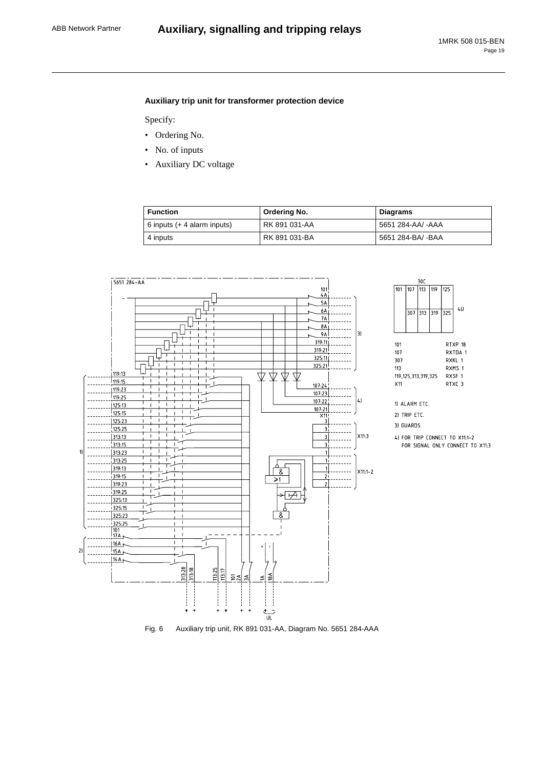$30C$ 

 $113$ 

119 125

307 313 319 325

 $4\,\mathrm{U}$ 

RTXP 18

RXTDA 1

RXKL 1

RXMS 1

RXSF 1

RTXC 3

101  $107$ 

 $101$ 

 $107$ 

307

 $113$ 

 $X11$ 

119, 125, 313, 319, 325

1) ALARM ETC.

2) TRIP ETC.

3) GUARDS

4) FOR TRIP CONNECT TO X11:1-2

FOR SIGNAL ONLY CONNECT TO X11:3

### **Auxiliary trip unit for transformer protection device**

Specify:

- Ordering No.
- No. of inputs
- Auxiliary DC voltage

| <b>Function</b>              | Ordering No.  | <b>Diagrams</b>   |
|------------------------------|---------------|-------------------|
| 6 inputs $(44$ alarm inputs) | RK 891 031-AA | 5651 284-AA/ -AAA |
| 4 inputs                     | RK 891 031-BA | 5651 284-BA/ -BAA |